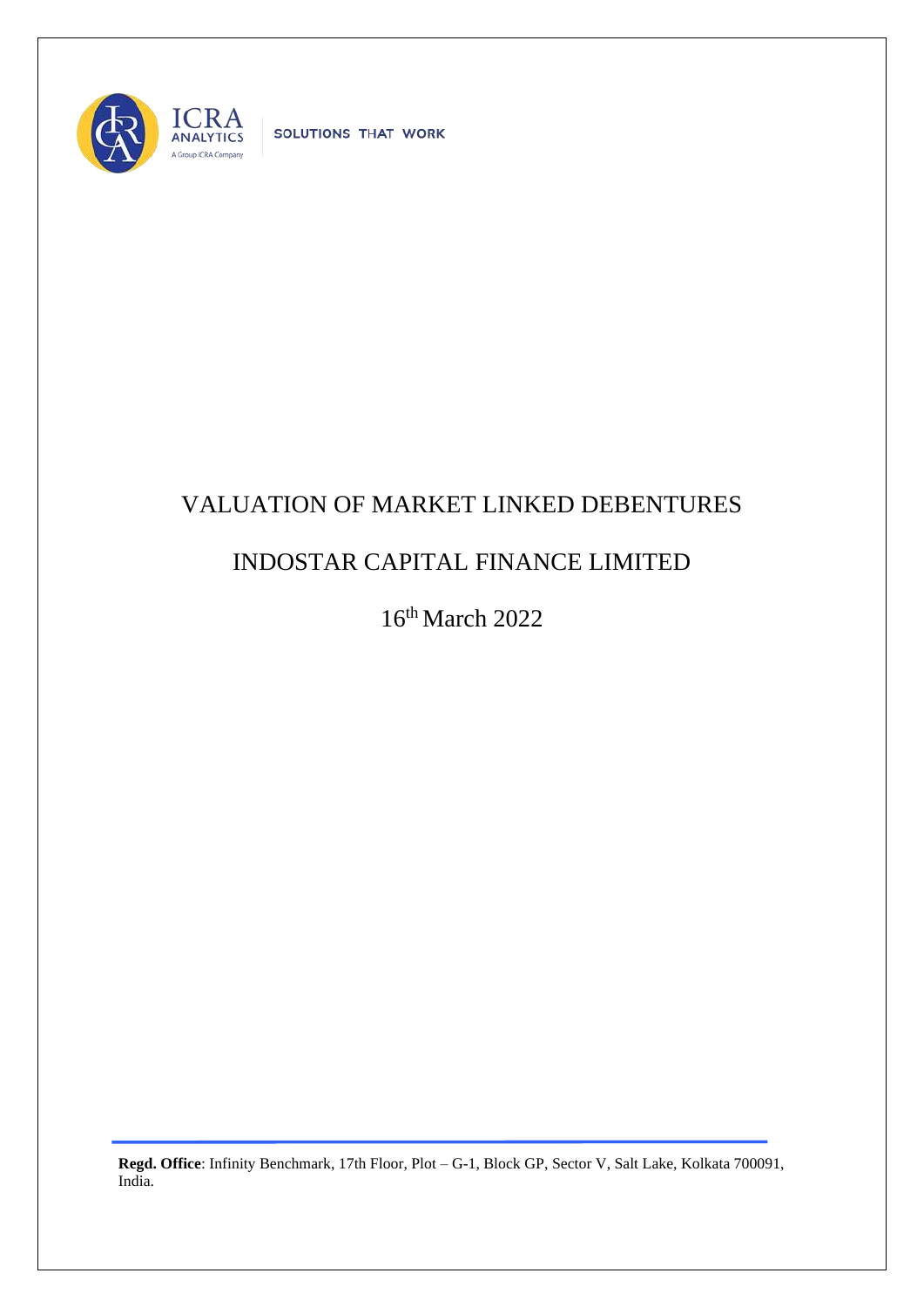

SOLUTIONS THAT WORK

## VALUATION OF MARKET LINKED DEBENTURES

## INDOSTAR CAPITAL FINANCE LIMITED

16th March 2022

**Regd. Office**: Infinity Benchmark, 17th Floor, Plot – G-1, Block GP, Sector V, Salt Lake, Kolkata 700091, India.